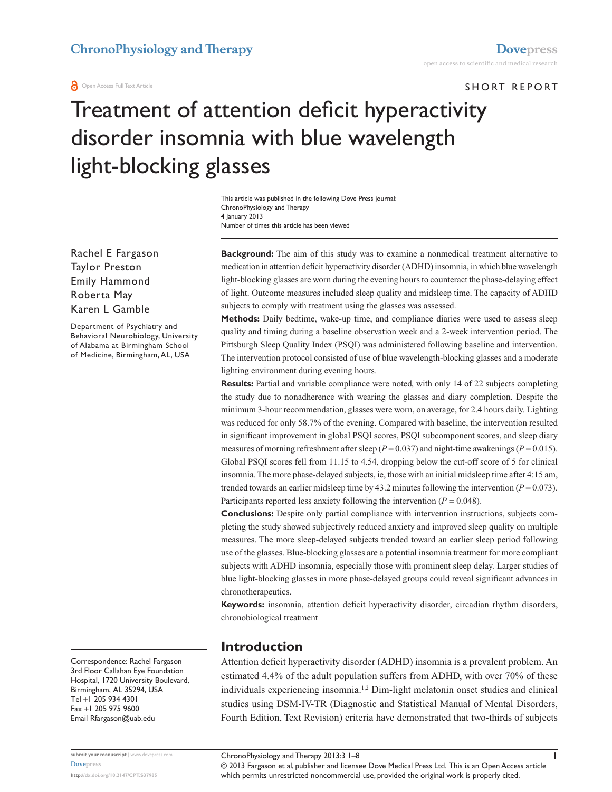#### **a** Open Access Full Text Article

SHORT REPORT

# Treatment of attention deficit hyperactivity disorder insomnia with blue wavelength light-blocking glasses

Number of times this article has been viewed This article was published in the following Dove Press journal: ChronoPhysiology and Therapy 4 January 2013

Rachel E Fargason Taylor Preston Emily Hammond Roberta May Karen L Gamble

Department of Psychiatry and Behavioral Neurobiology, University of Alabama at Birmingham School of Medicine, Birmingham, AL, USA

**Background:** The aim of this study was to examine a nonmedical treatment alternative to medication in attention deficit hyperactivity disorder (ADHD) insomnia, in which blue wavelength light-blocking glasses are worn during the evening hours to counteract the phase-delaying effect of light. Outcome measures included sleep quality and midsleep time. The capacity of ADHD subjects to comply with treatment using the glasses was assessed.

**Methods:** Daily bedtime, wake-up time, and compliance diaries were used to assess sleep quality and timing during a baseline observation week and a 2-week intervention period. The Pittsburgh Sleep Quality Index (PSQI) was administered following baseline and intervention. The intervention protocol consisted of use of blue wavelength-blocking glasses and a moderate lighting environment during evening hours.

**Results:** Partial and variable compliance were noted, with only 14 of 22 subjects completing the study due to nonadherence with wearing the glasses and diary completion. Despite the minimum 3-hour recommendation, glasses were worn, on average, for 2.4 hours daily. Lighting was reduced for only 58.7% of the evening. Compared with baseline, the intervention resulted in significant improvement in global PSQI scores, PSQI subcomponent scores, and sleep diary measures of morning refreshment after sleep ( $P = 0.037$ ) and night-time awakenings ( $P = 0.015$ ). Global PSQI scores fell from 11.15 to 4.54, dropping below the cut-off score of 5 for clinical insomnia. The more phase-delayed subjects, ie, those with an initial midsleep time after 4:15 am, trended towards an earlier midsleep time by 43.2 minutes following the intervention  $(P = 0.073)$ . Participants reported less anxiety following the intervention  $(P = 0.048)$ .

**Conclusions:** Despite only partial compliance with intervention instructions, subjects completing the study showed subjectively reduced anxiety and improved sleep quality on multiple measures. The more sleep-delayed subjects trended toward an earlier sleep period following use of the glasses. Blue-blocking glasses are a potential insomnia treatment for more compliant subjects with ADHD insomnia, especially those with prominent sleep delay. Larger studies of blue light-blocking glasses in more phase-delayed groups could reveal significant advances in chronotherapeutics.

**Keywords:** insomnia, attention deficit hyperactivity disorder, circadian rhythm disorders, chronobiological treatment

#### **Introduction**

Attention deficit hyperactivity disorder (ADHD) insomnia is a prevalent problem. An estimated 4.4% of the adult population suffers from ADHD, with over 70% of these individuals experiencing insomnia.1,2 Dim-light melatonin onset studies and clinical studies using DSM-IV-TR (Diagnostic and Statistical Manual of Mental Disorders, Fourth Edition, Text Revision) criteria have demonstrated that two-thirds of subjects

Correspondence: Rachel Fargason 3rd Floor Callahan Eye Foundation Hospital, 1720 University Boulevard, Birmingham, AL 35294, USA Tel +1 205 934 4301 Fax +1 205 975 9600 Email [Rfargason@uab.edu](mailto:Rfargason@uab.edu)

**submit your manuscript** | <www.dovepress.com> **[Dovepress](www.dovepress.com) <http://dx.doi.org/10.2147/CPT.S37985>**

ChronoPhysiology and Therapy 2013:3 1–8

© 2013 Fargason et al, publisher and licensee Dove Medical Press Ltd. This is an Open Access article which permits unrestricted noncommercial use, provided the original work is properly cited.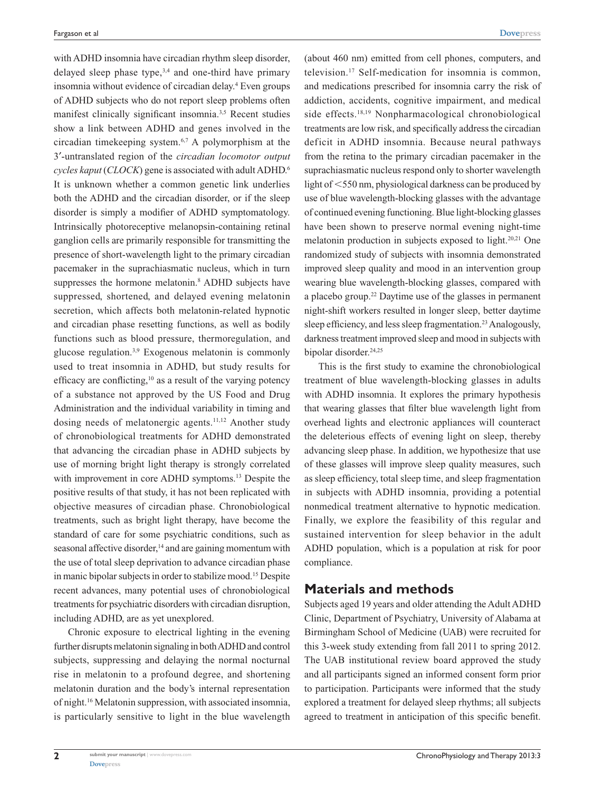with ADHD insomnia have circadian rhythm sleep disorder, delayed sleep phase type, $3,4$  and one-third have primary insomnia without evidence of circadian delay.4 Even groups of ADHD subjects who do not report sleep problems often manifest clinically significant insomnia.3,5 Recent studies show a link between ADHD and genes involved in the circadian timekeeping system.6,7 A polymorphism at the 3′-untranslated region of the *circadian locomotor output cycles kaput* (*CLOCK*) gene is associated with adult ADHD.6 It is unknown whether a common genetic link underlies both the ADHD and the circadian disorder, or if the sleep disorder is simply a modifier of ADHD symptomatology. Intrinsically photoreceptive melanopsin-containing retinal ganglion cells are primarily responsible for transmitting the presence of short-wavelength light to the primary circadian pacemaker in the suprachiasmatic nucleus, which in turn suppresses the hormone melatonin.<sup>8</sup> ADHD subjects have suppressed, shortened, and delayed evening melatonin secretion, which affects both melatonin-related hypnotic and circadian phase resetting functions, as well as bodily functions such as blood pressure, thermoregulation, and glucose regulation.3,9 Exogenous melatonin is commonly used to treat insomnia in ADHD, but study results for efficacy are conflicting,<sup>10</sup> as a result of the varying potency of a substance not approved by the US Food and Drug Administration and the individual variability in timing and dosing needs of melatonergic agents.<sup>11,12</sup> Another study of chronobiological treatments for ADHD demonstrated that advancing the circadian phase in ADHD subjects by use of morning bright light therapy is strongly correlated with improvement in core ADHD symptoms.<sup>13</sup> Despite the positive results of that study, it has not been replicated with objective measures of circadian phase. Chronobiological treatments, such as bright light therapy, have become the standard of care for some psychiatric conditions, such as seasonal affective disorder,<sup>14</sup> and are gaining momentum with the use of total sleep deprivation to advance circadian phase in manic bipolar subjects in order to stabilize mood.<sup>15</sup> Despite recent advances, many potential uses of chronobiological treatments for psychiatric disorders with circadian disruption, including ADHD, are as yet unexplored.

Chronic exposure to electrical lighting in the evening further disrupts melatonin signaling in both ADHD and control subjects, suppressing and delaying the normal nocturnal rise in melatonin to a profound degree, and shortening melatonin duration and the body's internal representation of night.16 Melatonin suppression, with associated insomnia, is particularly sensitive to light in the blue wavelength

(about 460 nm) emitted from cell phones, computers, and television.17 Self-medication for insomnia is common, and medications prescribed for insomnia carry the risk of addiction, accidents, cognitive impairment, and medical side effects.18,19 Nonpharmacological chronobiological treatments are low risk, and specifically address the circadian deficit in ADHD insomnia. Because neural pathways from the retina to the primary circadian pacemaker in the suprachiasmatic nucleus respond only to shorter wavelength light of  $\leq$ 550 nm, physiological darkness can be produced by use of blue wavelength-blocking glasses with the advantage of continued evening functioning. Blue light-blocking glasses have been shown to preserve normal evening night-time melatonin production in subjects exposed to light.20,21 One randomized study of subjects with insomnia demonstrated improved sleep quality and mood in an intervention group wearing blue wavelength-blocking glasses, compared with a placebo group.22 Daytime use of the glasses in permanent night-shift workers resulted in longer sleep, better daytime sleep efficiency, and less sleep fragmentation.<sup>23</sup> Analogously, darkness treatment improved sleep and mood in subjects with bipolar disorder.<sup>24,25</sup>

This is the first study to examine the chronobiological treatment of blue wavelength-blocking glasses in adults with ADHD insomnia. It explores the primary hypothesis that wearing glasses that filter blue wavelength light from overhead lights and electronic appliances will counteract the deleterious effects of evening light on sleep, thereby advancing sleep phase. In addition, we hypothesize that use of these glasses will improve sleep quality measures, such as sleep efficiency, total sleep time, and sleep fragmentation in subjects with ADHD insomnia, providing a potential nonmedical treatment alternative to hypnotic medication. Finally, we explore the feasibility of this regular and sustained intervention for sleep behavior in the adult ADHD population, which is a population at risk for poor compliance.

#### **Materials and methods**

Subjects aged 19 years and older attending the Adult ADHD Clinic, Department of Psychiatry, University of Alabama at Birmingham School of Medicine (UAB) were recruited for this 3-week study extending from fall 2011 to spring 2012. The UAB institutional review board approved the study and all participants signed an informed consent form prior to participation. Participants were informed that the study explored a treatment for delayed sleep rhythms; all subjects agreed to treatment in anticipation of this specific benefit.

**2**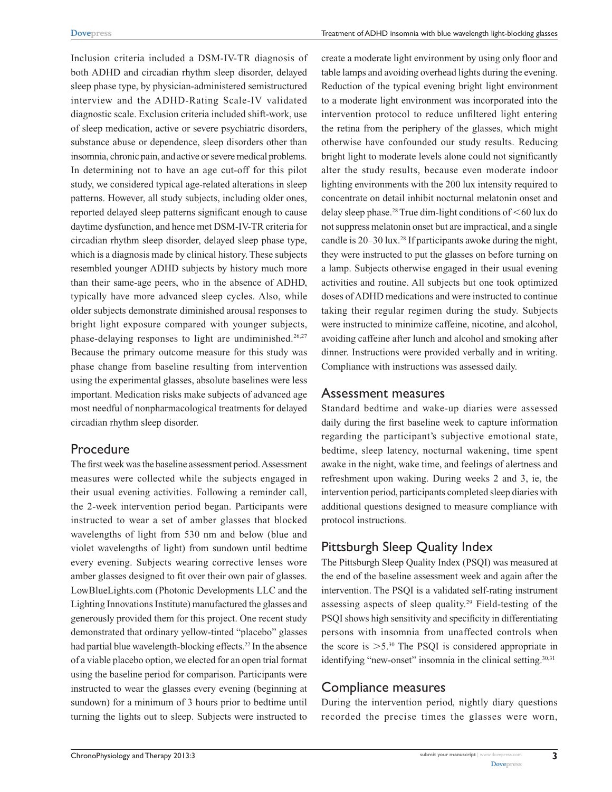Inclusion criteria included a DSM-IV-TR diagnosis of both ADHD and circadian rhythm sleep disorder, delayed sleep phase type, by physician-administered semistructured interview and the ADHD-Rating Scale-IV validated diagnostic scale. Exclusion criteria included shift-work, use of sleep medication, active or severe psychiatric disorders, substance abuse or dependence, sleep disorders other than insomnia, chronic pain, and active or severe medical problems. In determining not to have an age cut-off for this pilot study, we considered typical age-related alterations in sleep patterns. However, all study subjects, including older ones, reported delayed sleep patterns significant enough to cause daytime dysfunction, and hence met DSM-IV-TR criteria for circadian rhythm sleep disorder, delayed sleep phase type, which is a diagnosis made by clinical history. These subjects resembled younger ADHD subjects by history much more than their same-age peers, who in the absence of ADHD, typically have more advanced sleep cycles. Also, while older subjects demonstrate diminished arousal responses to bright light exposure compared with younger subjects, phase-delaying responses to light are undiminished.<sup>26,27</sup> Because the primary outcome measure for this study was phase change from baseline resulting from intervention using the experimental glasses, absolute baselines were less important. Medication risks make subjects of advanced age most needful of nonpharmacological treatments for delayed circadian rhythm sleep disorder.

# Procedure

The first week was the baseline assessment period. Assessment measures were collected while the subjects engaged in their usual evening activities. Following a reminder call, the 2-week intervention period began. Participants were instructed to wear a set of amber glasses that blocked wavelengths of light from 530 nm and below (blue and violet wavelengths of light) from sundown until bedtime every evening. Subjects wearing corrective lenses wore amber glasses designed to fit over their own pair of glasses. LowBlueLights.com (Photonic Developments LLC and the Lighting Innovations Institute) manufactured the glasses and generously provided them for this project. One recent study demonstrated that ordinary yellow-tinted "placebo" glasses had partial blue wavelength-blocking effects.<sup>22</sup> In the absence of a viable placebo option, we elected for an open trial format using the baseline period for comparison. Participants were instructed to wear the glasses every evening (beginning at sundown) for a minimum of 3 hours prior to bedtime until turning the lights out to sleep. Subjects were instructed to

create a moderate light environment by using only floor and table lamps and avoiding overhead lights during the evening. Reduction of the typical evening bright light environment to a moderate light environment was incorporated into the intervention protocol to reduce unfiltered light entering the retina from the periphery of the glasses, which might otherwise have confounded our study results. Reducing bright light to moderate levels alone could not significantly alter the study results, because even moderate indoor lighting environments with the 200 lux intensity required to concentrate on detail inhibit nocturnal melatonin onset and delay sleep phase.<sup>28</sup> True dim-light conditions of  $\leq 60$  lux do not suppress melatonin onset but are impractical, and a single candle is 20–30 lux.<sup>28</sup> If participants awoke during the night, they were instructed to put the glasses on before turning on a lamp. Subjects otherwise engaged in their usual evening activities and routine. All subjects but one took optimized doses of ADHD medications and were instructed to continue taking their regular regimen during the study. Subjects were instructed to minimize caffeine, nicotine, and alcohol, avoiding caffeine after lunch and alcohol and smoking after dinner. Instructions were provided verbally and in writing. Compliance with instructions was assessed daily.

## Assessment measures

Standard bedtime and wake-up diaries were assessed daily during the first baseline week to capture information regarding the participant's subjective emotional state, bedtime, sleep latency, nocturnal wakening, time spent awake in the night, wake time, and feelings of alertness and refreshment upon waking. During weeks 2 and 3, ie, the intervention period, participants completed sleep diaries with additional questions designed to measure compliance with protocol instructions.

# Pittsburgh Sleep Quality Index

The Pittsburgh Sleep Quality Index (PSQI) was measured at the end of the baseline assessment week and again after the intervention. The PSQI is a validated self-rating instrument assessing aspects of sleep quality.29 Field-testing of the PSQI shows high sensitivity and specificity in differentiating persons with insomnia from unaffected controls when the score is  $>5.^{30}$  The PSOI is considered appropriate in identifying "new-onset" insomnia in the clinical setting.<sup>30,31</sup>

# Compliance measures

During the intervention period, nightly diary questions recorded the precise times the glasses were worn,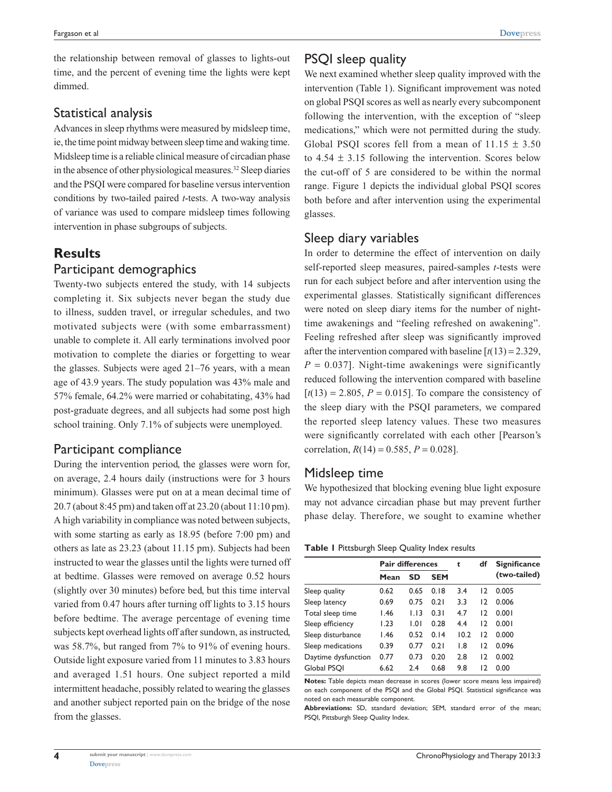the relationship between removal of glasses to lights-out time, and the percent of evening time the lights were kept dimmed.

#### Statistical analysis

Advances in sleep rhythms were measured by midsleep time, ie, the time point midway between sleep time and waking time. Midsleep time is a reliable clinical measure of circadian phase in the absence of other physiological measures.<sup>32</sup> Sleep diaries and the PSQI were compared for baseline versus intervention conditions by two-tailed paired *t*-tests. A two-way analysis of variance was used to compare midsleep times following intervention in phase subgroups of subjects.

## **Results**

#### Participant demographics

Twenty-two subjects entered the study, with 14 subjects completing it. Six subjects never began the study due to illness, sudden travel, or irregular schedules, and two motivated subjects were (with some embarrassment) unable to complete it. All early terminations involved poor motivation to complete the diaries or forgetting to wear the glasses. Subjects were aged 21–76 years, with a mean age of 43.9 years. The study population was 43% male and 57% female, 64.2% were married or cohabitating, 43% had post-graduate degrees, and all subjects had some post high school training. Only 7.1% of subjects were unemployed.

## Participant compliance

During the intervention period, the glasses were worn for, on average, 2.4 hours daily (instructions were for 3 hours minimum). Glasses were put on at a mean decimal time of 20.7 (about 8:45 pm) and taken off at 23.20 (about 11:10 pm). A high variability in compliance was noted between subjects, with some starting as early as 18.95 (before 7:00 pm) and others as late as 23.23 (about 11.15 pm). Subjects had been instructed to wear the glasses until the lights were turned off at bedtime. Glasses were removed on average 0.52 hours (slightly over 30 minutes) before bed, but this time interval varied from 0.47 hours after turning off lights to 3.15 hours before bedtime. The average percentage of evening time subjects kept overhead lights off after sundown, as instructed, was 58.7%, but ranged from 7% to 91% of evening hours. Outside light exposure varied from 11 minutes to 3.83 hours and averaged 1.51 hours. One subject reported a mild intermittent headache, possibly related to wearing the glasses and another subject reported pain on the bridge of the nose from the glasses.

We next examined whether sleep quality improved with the intervention (Table 1). Significant improvement was noted on global PSQI scores as well as nearly every subcomponent following the intervention, with the exception of "sleep medications," which were not permitted during the study. Global PSQI scores fell from a mean of  $11.15 \pm 3.50$ to  $4.54 \pm 3.15$  following the intervention. Scores below the cut-off of 5 are considered to be within the normal range. Figure 1 depicts the individual global PSQI scores both before and after intervention using the experimental glasses.

## Sleep diary variables

In order to determine the effect of intervention on daily self-reported sleep measures, paired-samples *t*-tests were run for each subject before and after intervention using the experimental glasses. Statistically significant differences were noted on sleep diary items for the number of nighttime awakenings and "feeling refreshed on awakening". Feeling refreshed after sleep was significantly improved after the intervention compared with baseline  $[t(13) = 2.329]$ ,  $P = 0.037$ . Night-time awakenings were significantly reduced following the intervention compared with baseline  $[t(13) = 2.805, P = 0.015]$ . To compare the consistency of the sleep diary with the PSQI parameters, we compared the reported sleep latency values. These two measures were significantly correlated with each other [Pearson's correlation,  $R(14) = 0.585$ ,  $P = 0.028$ ].

## Midsleep time

We hypothesized that blocking evening blue light exposure may not advance circadian phase but may prevent further phase delay. Therefore, we sought to examine whether

#### **Table 1** Pittsburgh Sleep Quality Index results

|                     | <b>Pair differences</b> |           |            | t    | df | <b>Significance</b> |
|---------------------|-------------------------|-----------|------------|------|----|---------------------|
|                     | Mean                    | <b>SD</b> | <b>SEM</b> |      |    | (two-tailed)        |
| Sleep quality       | 0.62                    | 0.65      | 0.18       | 3.4  | 12 | 0.005               |
| Sleep latency       | 0.69                    | 0.75      | 0.21       | 3.3  | 12 | 0.006               |
| Total sleep time    | 1.46                    | 1.13      | 0.31       | 4.7  | 12 | 0.001               |
| Sleep efficiency    | 1.23                    | 1.01      | 0.28       | 4.4  | 12 | 0.001               |
| Sleep disturbance   | 1.46                    | 0.52      | 0.14       | 10.2 | 12 | 0.000               |
| Sleep medications   | 0.39                    | 0.77      | 0.21       | 1.8  | 12 | 0.096               |
| Daytime dysfunction | 0.77                    | 0.73      | 0.20       | 2.8  | 12 | 0.002               |
| Global PSQI         | 6.62                    | 2.4       | 0.68       | 9.8  | 12 | 0.00                |

**Notes:** Table depicts mean decrease in scores (lower score means less impaired) on each component of the PSQI and the Global PSQI. Statistical significance was noted on each measurable component.

**Abbreviations:** SD, standard deviation; SEM, standard error of the mean; PSQI, Pittsburgh Sleep Quality Index.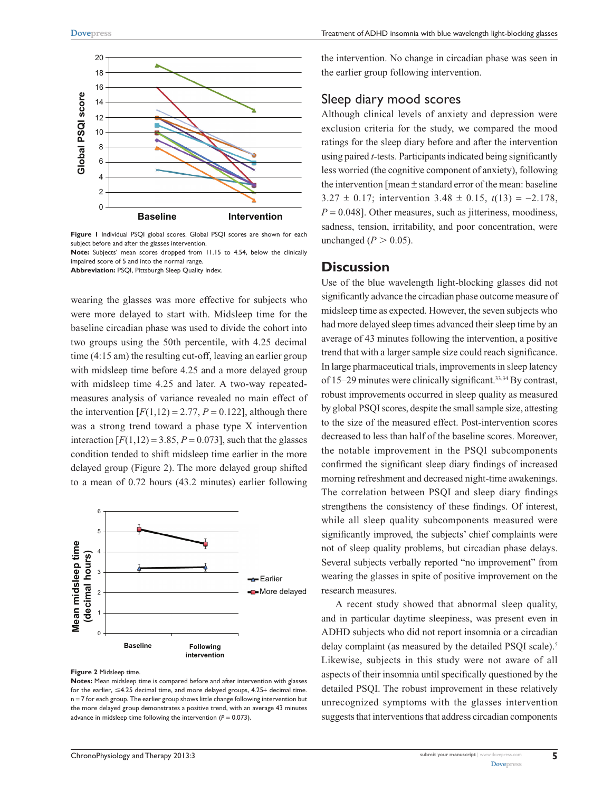

Figure 1 Individual PSQI global scores. Global PSQI scores are shown for each subject before and after the glasses intervention. **Note:** Subjects' mean scores dropped from 11.15 to 4.54, below the clinically

impaired score of 5 and into the normal range. **Abbreviation:** PSQI, Pittsburgh Sleep Quality Index.

wearing the glasses was more effective for subjects who were more delayed to start with. Midsleep time for the baseline circadian phase was used to divide the cohort into two groups using the 50th percentile, with 4.25 decimal time (4:15 am) the resulting cut-off, leaving an earlier group with midsleep time before 4.25 and a more delayed group with midsleep time 4.25 and later. A two-way repeatedmeasures analysis of variance revealed no main effect of the intervention  $[F(1,12) = 2.77, P = 0.122]$ , although there was a strong trend toward a phase type X intervention interaction  $[F(1,12) = 3.85, P = 0.073]$ , such that the glasses condition tended to shift midsleep time earlier in the more delayed group (Figure 2). The more delayed group shifted to a mean of 0.72 hours (43.2 minutes) earlier following



**Figure 2** Midsleep time.

**Notes:** Mean midsleep time is compared before and after intervention with glasses for the earlier,  $\leq$ 4.25 decimal time, and more delayed groups, 4.25+ decimal time. n = 7 for each group. The earlier group shows little change following intervention but the more delayed group demonstrates a positive trend, with an average 43 minutes advance in midsleep time following the intervention (*P* = 0.073).

the intervention. No change in circadian phase was seen in the earlier group following intervention.

#### Sleep diary mood scores

Although clinical levels of anxiety and depression were exclusion criteria for the study, we compared the mood ratings for the sleep diary before and after the intervention using paired *t*-tests. Participants indicated being significantly less worried (the cognitive component of anxiety), following the intervention [mean ± standard error of the mean: baseline 3.27 ± 0.17; intervention 3.48 ± 0.15, *t*(13) = −2.178,  $P = 0.048$ . Other measures, such as jitteriness, moodiness, sadness, tension, irritability, and poor concentration, were unchanged  $(P > 0.05)$ .

#### **Discussion**

Use of the blue wavelength light-blocking glasses did not significantly advance the circadian phase outcome measure of midsleep time as expected. However, the seven subjects who had more delayed sleep times advanced their sleep time by an average of 43 minutes following the intervention, a positive trend that with a larger sample size could reach significance. In large pharmaceutical trials, improvements in sleep latency of 15–29 minutes were clinically significant.33,34 By contrast, robust improvements occurred in sleep quality as measured by global PSQI scores, despite the small sample size, attesting to the size of the measured effect. Post-intervention scores decreased to less than half of the baseline scores. Moreover, the notable improvement in the PSQI subcomponents confirmed the significant sleep diary findings of increased morning refreshment and decreased night-time awakenings. The correlation between PSQI and sleep diary findings strengthens the consistency of these findings. Of interest, while all sleep quality subcomponents measured were significantly improved, the subjects' chief complaints were not of sleep quality problems, but circadian phase delays. Several subjects verbally reported "no improvement" from wearing the glasses in spite of positive improvement on the research measures.

A recent study showed that abnormal sleep quality, and in particular daytime sleepiness, was present even in ADHD subjects who did not report insomnia or a circadian delay complaint (as measured by the detailed PSQI scale).<sup>5</sup> Likewise, subjects in this study were not aware of all aspects of their insomnia until specifically questioned by the detailed PSQI. The robust improvement in these relatively unrecognized symptoms with the glasses intervention suggests that interventions that address circadian components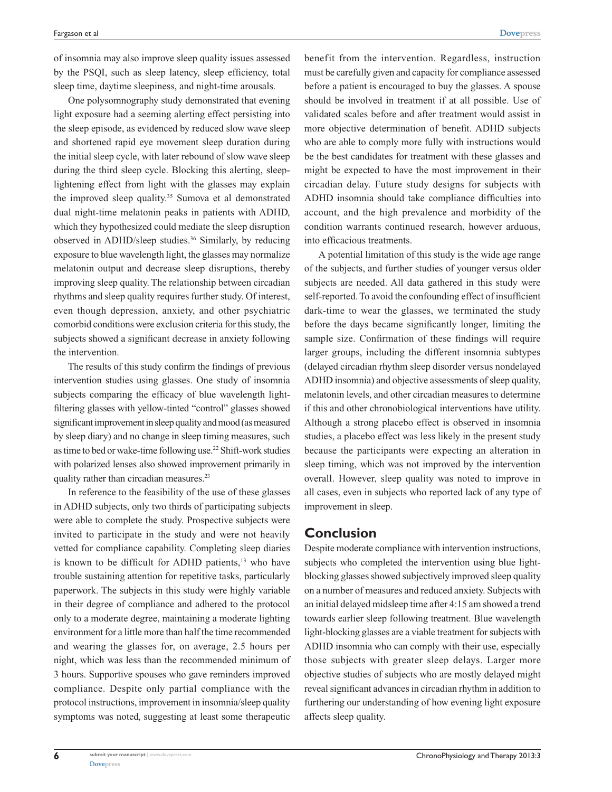of insomnia may also improve sleep quality issues assessed by the PSQI, such as sleep latency, sleep efficiency, total sleep time, daytime sleepiness, and night-time arousals.

One polysomnography study demonstrated that evening light exposure had a seeming alerting effect persisting into the sleep episode, as evidenced by reduced slow wave sleep and shortened rapid eye movement sleep duration during the initial sleep cycle, with later rebound of slow wave sleep during the third sleep cycle. Blocking this alerting, sleeplightening effect from light with the glasses may explain the improved sleep quality.<sup>35</sup> Sumova et al demonstrated dual night-time melatonin peaks in patients with ADHD, which they hypothesized could mediate the sleep disruption observed in ADHD/sleep studies.36 Similarly, by reducing exposure to blue wavelength light, the glasses may normalize melatonin output and decrease sleep disruptions, thereby improving sleep quality. The relationship between circadian rhythms and sleep quality requires further study. Of interest, even though depression, anxiety, and other psychiatric comorbid conditions were exclusion criteria for this study, the subjects showed a significant decrease in anxiety following the intervention.

The results of this study confirm the findings of previous intervention studies using glasses. One study of insomnia subjects comparing the efficacy of blue wavelength lightfiltering glasses with yellow-tinted "control" glasses showed significant improvement in sleep quality and mood (as measured by sleep diary) and no change in sleep timing measures, such as time to bed or wake-time following use.22 Shift-work studies with polarized lenses also showed improvement primarily in quality rather than circadian measures.<sup>23</sup>

In reference to the feasibility of the use of these glasses in ADHD subjects, only two thirds of participating subjects were able to complete the study. Prospective subjects were invited to participate in the study and were not heavily vetted for compliance capability. Completing sleep diaries is known to be difficult for ADHD patients, $13$  who have trouble sustaining attention for repetitive tasks, particularly paperwork. The subjects in this study were highly variable in their degree of compliance and adhered to the protocol only to a moderate degree, maintaining a moderate lighting environment for a little more than half the time recommended and wearing the glasses for, on average, 2.5 hours per night, which was less than the recommended minimum of 3 hours. Supportive spouses who gave reminders improved compliance. Despite only partial compliance with the protocol instructions, improvement in insomnia/sleep quality symptoms was noted, suggesting at least some therapeutic benefit from the intervention. Regardless, instruction must be carefully given and capacity for compliance assessed before a patient is encouraged to buy the glasses. A spouse should be involved in treatment if at all possible. Use of validated scales before and after treatment would assist in more objective determination of benefit. ADHD subjects who are able to comply more fully with instructions would be the best candidates for treatment with these glasses and might be expected to have the most improvement in their circadian delay. Future study designs for subjects with ADHD insomnia should take compliance difficulties into account, and the high prevalence and morbidity of the condition warrants continued research, however arduous, into efficacious treatments.

A potential limitation of this study is the wide age range of the subjects, and further studies of younger versus older subjects are needed. All data gathered in this study were self-reported. To avoid the confounding effect of insufficient dark-time to wear the glasses, we terminated the study before the days became significantly longer, limiting the sample size. Confirmation of these findings will require larger groups, including the different insomnia subtypes (delayed circadian rhythm sleep disorder versus nondelayed ADHD insomnia) and objective assessments of sleep quality, melatonin levels, and other circadian measures to determine if this and other chronobiological interventions have utility. Although a strong placebo effect is observed in insomnia studies, a placebo effect was less likely in the present study because the participants were expecting an alteration in sleep timing, which was not improved by the intervention overall. However, sleep quality was noted to improve in all cases, even in subjects who reported lack of any type of improvement in sleep.

## **Conclusion**

Despite moderate compliance with intervention instructions, subjects who completed the intervention using blue lightblocking glasses showed subjectively improved sleep quality on a number of measures and reduced anxiety. Subjects with an initial delayed midsleep time after 4:15 am showed a trend towards earlier sleep following treatment. Blue wavelength light-blocking glasses are a viable treatment for subjects with ADHD insomnia who can comply with their use, especially those subjects with greater sleep delays. Larger more objective studies of subjects who are mostly delayed might reveal significant advances in circadian rhythm in addition to furthering our understanding of how evening light exposure affects sleep quality.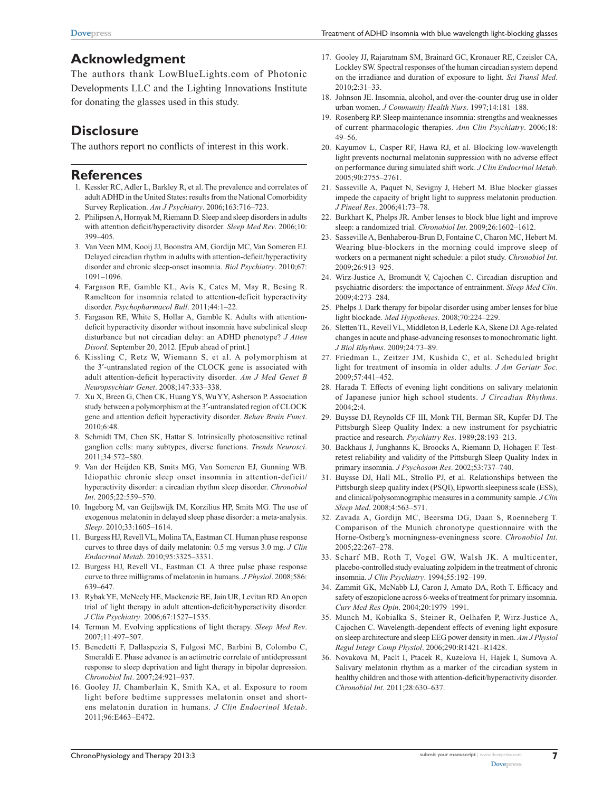# **Acknowledgment**

The authors thank LowBlueLights.com of Photonic Developments LLC and the Lighting Innovations Institute for donating the glasses used in this study.

## **Disclosure**

The authors report no conflicts of interest in this work.

# **References**

- 1. Kessler RC, Adler L, Barkley R, et al. The prevalence and correlates of adult ADHD in the United States: results from the National Comorbidity Survey Replication. *Am J Psychiatry*. 2006;163:716–723.
- 2. Philipsen A, Hornyak M, Riemann D. Sleep and sleep disorders in adults with attention deficit/hyperactivity disorder. *Sleep Med Rev*. 2006;10: 399–405.
- 3. Van Veen MM, Kooij JJ, Boonstra AM, Gordijn MC, Van Someren EJ. Delayed circadian rhythm in adults with attention-deficit/hyperactivity disorder and chronic sleep-onset insomnia. *Biol Psychiatry*. 2010;67: 1091–1096.
- 4. Fargason RE, Gamble KL, Avis K, Cates M, May R, Besing R. Ramelteon for insomnia related to attention-deficit hyperactivity disorder. *Psychopharmacol Bull*. 2011;44:1–22.
- 5. Fargason RE, White S, Hollar A, Gamble K. Adults with attentiondeficit hyperactivity disorder without insomnia have subclinical sleep disturbance but not circadian delay: an ADHD phenotype? *J Atten Disord*. September 20, 2012. [Epub ahead of print.]
- 6. Kissling C, Retz W, Wiemann S, et al. A polymorphism at the 3′-untranslated region of the CLOCK gene is associated with adult attention-deficit hyperactivity disorder. *Am J Med Genet B Neuropsychiatr Genet*. 2008;147:333–338.
- 7. Xu X, Breen G, Chen CK, Huang YS, Wu YY, Asherson P. Association study between a polymorphism at the 3′-untranslated region of CLOCK gene and attention deficit hyperactivity disorder. *Behav Brain Funct*. 2010;6:48.
- 8. Schmidt TM, Chen SK, Hattar S. Intrinsically photosensitive retinal ganglion cells: many subtypes, diverse functions. *Trends Neurosci*. 2011;34:572–580.
- 9. Van der Heijden KB, Smits MG, Van Someren EJ, Gunning WB. Idiopathic chronic sleep onset insomnia in attention-deficit/ hyperactivity disorder: a circadian rhythm sleep disorder. *Chronobiol Int*. 2005;22:559–570.
- 10. Ingeborg M, van Geijlswijk IM, Korzilius HP, Smits MG. The use of exogenous melatonin in delayed sleep phase disorder: a meta-analysis. *Sleep*. 2010;33:1605–1614.
- 11. Burgess HJ, Revell VL, Molina TA, Eastman CI. Human phase response curves to three days of daily melatonin: 0.5 mg versus 3.0 mg. *J Clin Endocrinol Metab*. 2010;95:3325–3331.
- 12. Burgess HJ, Revell VL, Eastman CI. A three pulse phase response curve to three milligrams of melatonin in humans. *J Physiol*. 2008;586: 639–647.
- 13. Rybak YE, McNeely HE, Mackenzie BE, Jain UR, Levitan RD. An open trial of light therapy in adult attention-deficit/hyperactivity disorder. *J Clin Psychiatry*. 2006;67:1527–1535.
- 14. Terman M. Evolving applications of light therapy. *Sleep Med Rev*. 2007;11:497–507.
- 15. Benedetti F, Dallaspezia S, Fulgosi MC, Barbini B, Colombo C, Smeraldi E. Phase advance is an actimetric correlate of antidepressant response to sleep deprivation and light therapy in bipolar depression. *Chronobiol Int*. 2007;24:921–937.
- 16. Gooley JJ, Chamberlain K, Smith KA, et al. Exposure to room light before bedtime suppresses melatonin onset and shortens melatonin duration in humans. *J Clin Endocrinol Metab*. 2011;96:E463–E472.
- 17. Gooley JJ, Rajaratnam SM, Brainard GC, Kronauer RE, Czeisler CA, Lockley SW. Spectral responses of the human circadian system depend on the irradiance and duration of exposure to light. *Sci Transl Med*. 2010;2:31–33.
- 18. Johnson JE. Insomnia, alcohol, and over-the-counter drug use in older urban women. *J Community Health Nurs*. 1997;14:181–188.
- 19. Rosenberg RP. Sleep maintenance insomnia: strengths and weaknesses of current pharmacologic therapies. *Ann Clin Psychiatry*. 2006;18: 49–56.
- 20. Kayumov L, Casper RF, Hawa RJ, et al. Blocking low-wavelength light prevents nocturnal melatonin suppression with no adverse effect on performance during simulated shift work. *J Clin Endocrinol Metab*. 2005;90:2755–2761.
- 21. Sasseville A, Paquet N, Sevigny J, Hebert M. Blue blocker glasses impede the capacity of bright light to suppress melatonin production. *J Pineal Res*. 2006;41:73–78.
- 22. Burkhart K, Phelps JR. Amber lenses to block blue light and improve sleep: a randomized trial. *Chronobiol Int*. 2009;26:1602–1612.
- Sasseville A, Benhaberou-Brun D, Fontaine C, Charon MC, Hebert M. Wearing blue-blockers in the morning could improve sleep of workers on a permanent night schedule: a pilot study. *Chronobiol Int*. 2009;26:913–925.
- 24. Wirz-Justice A, Bromundt V, Cajochen C. Circadian disruption and psychiatric disorders: the importance of entrainment. *Sleep Med Clin*. 2009;4:273–284.
- 25. Phelps J. Dark therapy for bipolar disorder using amber lenses for blue light blockade. *Med Hypotheses*. 2008;70:224–229.
- 26. Sletten TL, Revell VL, Middleton B, Lederle KA, Skene DJ. Age-related changes in acute and phase-advancing resonses to monochromatic light. *J Biol Rhythms*. 2009;24:73–89.
- 27. Friedman L, Zeitzer JM, Kushida C, et al. Scheduled bright light for treatment of insomia in older adults. *J Am Geriatr Soc*. 2009;57:441–452.
- 28. Harada T. Effects of evening light conditions on salivary melatonin of Japanese junior high school students. *J Circadian Rhythms*. 2004;2:4.
- 29. Buysse DJ, Reynolds CF III, Monk TH, Berman SR, Kupfer DJ. The Pittsburgh Sleep Quality Index: a new instrument for psychiatric practice and research. *Psychiatry Res*. 1989;28:193–213.
- 30. Backhaus J, Junghanns K, Broocks A, Riemann D, Hohagen F. Testretest reliability and validity of the Pittsburgh Sleep Quality Index in primary insomnia. *J Psychosom Res*. 2002;53:737–740.
- 31. Buysse DJ, Hall ML, Strollo PJ, et al. Relationships between the Pittsburgh sleep quality index (PSQI), Epworth sleepiness scale (ESS), and clinical/polysomnographic measures in a community sample. *J Clin Sleep Med*. 2008;4:563–571.
- 32. Zavada A, Gordijn MC, Beersma DG, Daan S, Roenneberg T. Comparison of the Munich chronotype questionnaire with the Horne-Ostberg's morningness-eveningness score. *Chronobiol Int*. 2005;22:267–278.
- 33. Scharf MB, Roth T, Vogel GW, Walsh JK. A multicenter, placebo-controlled study evaluating zolpidem in the treatment of chronic insomnia. *J Clin Psychiatry*. 1994;55:192–199.
- 34. Zammit GK, McNabb LJ, Caron J, Amato DA, Roth T. Efficacy and safety of eszopiclone across 6-weeks of treatment for primary insomnia. *Curr Med Res Opin*. 2004;20:1979–1991.
- 35. Munch M, Kobialka S, Steiner R, Oelhafen P, Wirz-Justice A, Cajochen C. Wavelength-dependent effects of evening light exposure on sleep architecture and sleep EEG power density in men. *Am J Physiol Regul Integr Comp Physiol*. 2006;290:R1421–R1428.
- 36. Novakova M, Paclt I, Ptacek R, Kuzelova H, Hajek I, Sumova A. Salivary melatonin rhythm as a marker of the circadian system in healthy children and those with attention-deficit/hyperactivity disorder. *Chronobiol Int*. 2011;28:630–637.